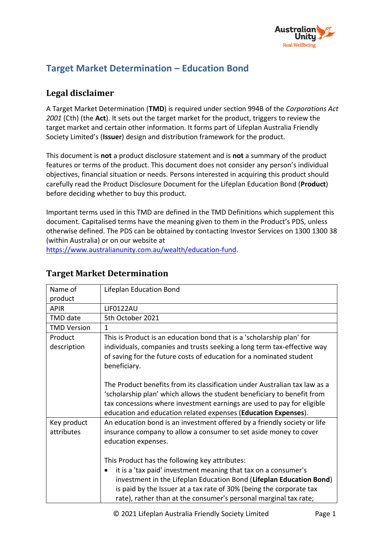

# **Target Market Determination – Education Bond**

# **Legal disclaimer**

A Target Market Determination (**TMD**) is required under section 994B of the *Corporations Act 2001* (Cth) (the **Act**). It sets out the target market for the product, triggers to review the target market and certain other information. It forms part of Lifeplan Australia Friendly Society Limited's (**Issuer**) design and distribution framework for the product.

This document is **not** a product disclosure statement and is **not** a summary of the product features or terms of the product. This document does not consider any person's individual objectives, financial situation or needs. Persons interested in acquiring this product should carefully read the Product Disclosure Document for the Lifeplan Education Bond (**Product**) before deciding whether to buy this product.

Important terms used in this TMD are defined in the TMD Definitions which supplement this document. Capitalised terms have the meaning given to them in the Product's PDS, unless otherwise defined. The PDS can be obtained by contacting Investor Services on 1300 1300 38 (within Australia) or on our website at

[https://www.australianunity.com.au/wealth/education-fund.](https://www.australianunity.com.au/wealth/education-fund)

| Name of                | Lifeplan Education Bond                                                                                                                                                                                                                                                                           |
|------------------------|---------------------------------------------------------------------------------------------------------------------------------------------------------------------------------------------------------------------------------------------------------------------------------------------------|
| product                |                                                                                                                                                                                                                                                                                                   |
| <b>APIR</b>            | LIF0122AU                                                                                                                                                                                                                                                                                         |
| TMD date               | 5th October 2021                                                                                                                                                                                                                                                                                  |
| <b>TMD Version</b>     | 1                                                                                                                                                                                                                                                                                                 |
| Product<br>description | This is Product is an education bond that is a 'scholarship plan' for<br>individuals, companies and trusts seeking a long term tax-effective way<br>of saving for the future costs of education for a nominated student<br>beneficiary.                                                           |
|                        | The Product benefits from its classification under Australian tax law as a<br>'scholarship plan' which allows the student beneficiary to benefit from<br>tax concessions where investment earnings are used to pay for eligible<br>education and education related expenses (Education Expenses). |
| Key product            | An education bond is an investment offered by a friendly society or life                                                                                                                                                                                                                          |
| attributes             | insurance company to allow a consumer to set aside money to cover                                                                                                                                                                                                                                 |
|                        | education expenses.<br>This Product has the following key attributes:                                                                                                                                                                                                                             |
|                        | it is a 'tax paid' investment meaning that tax on a consumer's<br>$\bullet$                                                                                                                                                                                                                       |
|                        | investment in the Lifeplan Education Bond (Lifeplan Education Bond)                                                                                                                                                                                                                               |
|                        | is paid by the Issuer at a tax rate of 30% (being the corporate tax                                                                                                                                                                                                                               |
|                        | rate), rather than at the consumer's personal marginal tax rate;                                                                                                                                                                                                                                  |

# **Target Market Determination**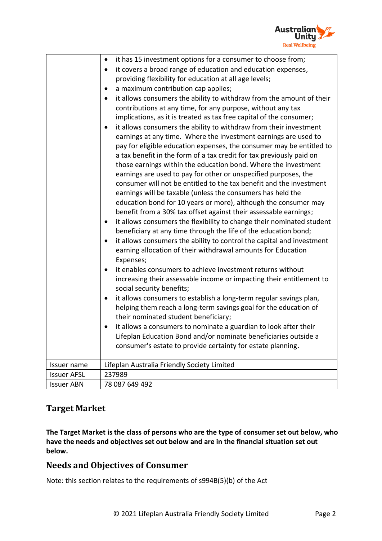

|                    | it has 15 investment options for a consumer to choose from;<br>$\bullet$<br>it covers a broad range of education and education expenses,<br>$\bullet$<br>providing flexibility for education at all age levels;<br>a maximum contribution cap applies;<br>$\bullet$<br>it allows consumers the ability to withdraw from the amount of their<br>$\bullet$                                                                                                                                                                                                                                                                                                                                                                                                                                                                                                                                                                                        |
|--------------------|-------------------------------------------------------------------------------------------------------------------------------------------------------------------------------------------------------------------------------------------------------------------------------------------------------------------------------------------------------------------------------------------------------------------------------------------------------------------------------------------------------------------------------------------------------------------------------------------------------------------------------------------------------------------------------------------------------------------------------------------------------------------------------------------------------------------------------------------------------------------------------------------------------------------------------------------------|
|                    | contributions at any time, for any purpose, without any tax<br>implications, as it is treated as tax free capital of the consumer;<br>it allows consumers the ability to withdraw from their investment<br>$\bullet$<br>earnings at any time. Where the investment earnings are used to<br>pay for eligible education expenses, the consumer may be entitled to<br>a tax benefit in the form of a tax credit for tax previously paid on<br>those earnings within the education bond. Where the investment<br>earnings are used to pay for other or unspecified purposes, the<br>consumer will not be entitled to the tax benefit and the investment<br>earnings will be taxable (unless the consumers has held the<br>education bond for 10 years or more), although the consumer may<br>benefit from a 30% tax offset against their assessable earnings;<br>it allows consumers the flexibility to change their nominated student<br>$\bullet$ |
|                    | beneficiary at any time through the life of the education bond;<br>it allows consumers the ability to control the capital and investment<br>$\bullet$<br>earning allocation of their withdrawal amounts for Education<br>Expenses;                                                                                                                                                                                                                                                                                                                                                                                                                                                                                                                                                                                                                                                                                                              |
|                    | it enables consumers to achieve investment returns without<br>$\bullet$<br>increasing their assessable income or impacting their entitlement to<br>social security benefits;                                                                                                                                                                                                                                                                                                                                                                                                                                                                                                                                                                                                                                                                                                                                                                    |
|                    | it allows consumers to establish a long-term regular savings plan,<br>$\bullet$<br>helping them reach a long-term savings goal for the education of<br>their nominated student beneficiary;                                                                                                                                                                                                                                                                                                                                                                                                                                                                                                                                                                                                                                                                                                                                                     |
|                    | it allows a consumers to nominate a guardian to look after their<br>Lifeplan Education Bond and/or nominate beneficiaries outside a<br>consumer's estate to provide certainty for estate planning.                                                                                                                                                                                                                                                                                                                                                                                                                                                                                                                                                                                                                                                                                                                                              |
| Issuer name        | Lifeplan Australia Friendly Society Limited                                                                                                                                                                                                                                                                                                                                                                                                                                                                                                                                                                                                                                                                                                                                                                                                                                                                                                     |
| <b>Issuer AFSL</b> | 237989                                                                                                                                                                                                                                                                                                                                                                                                                                                                                                                                                                                                                                                                                                                                                                                                                                                                                                                                          |
| <b>Issuer ABN</b>  | 78 087 649 492                                                                                                                                                                                                                                                                                                                                                                                                                                                                                                                                                                                                                                                                                                                                                                                                                                                                                                                                  |

# **Target Market**

**The Target Market is the class of persons who are the type of consumer set out below, who have the needs and objectives set out below and are in the financial situation set out below.** 

## **Needs and Objectives of Consumer**

Note: this section relates to the requirements of s994B(5)(b) of the Act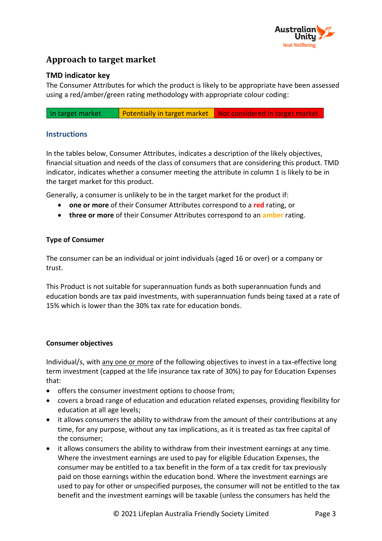

## **Approach to target market**

### **TMD indicator key**

The Consumer Attributes for which the product is likely to be appropriate have been assessed using a red/amber/green rating methodology with appropriate colour coding:

In target market **Potentially in target market** Not considered in target market

#### **Instructions**

In the tables below, Consumer Attributes, indicates a description of the likely objectives, financial situation and needs of the class of consumers that are considering this product. TMD indicator, indicates whether a consumer meeting the attribute in column 1 is likely to be in the target market for this product.

Generally, a consumer is unlikely to be in the target market for the product if:

- **one or more** of their Consumer Attributes correspond to a **red** rating, or
- **three or more** of their Consumer Attributes correspond to an **amber** rating.

#### **Type of Consumer**

The consumer can be an individual or joint individuals (aged 16 or over) or a company or trust.

This Product is not suitable for superannuation funds as both superannuation funds and education bonds are tax paid investments, with superannuation funds being taxed at a rate of 15% which is lower than the 30% tax rate for education bonds.

#### **Consumer objectives**

Individual/s, with any one or more of the following objectives to invest in a tax-effective long term investment (capped at the life insurance tax rate of 30%) to pay for Education Expenses that:

- offers the consumer investment options to choose from;
- covers a broad range of education and education related expenses, providing flexibility for education at all age levels;
- it allows consumers the ability to withdraw from the amount of their contributions at any time, for any purpose, without any tax implications, as it is treated as tax free capital of the consumer;
- it allows consumers the ability to withdraw from their investment earnings at any time. Where the investment earnings are used to pay for eligible Education Expenses, the consumer may be entitled to a tax benefit in the form of a tax credit for tax previously paid on those earnings within the education bond. Where the investment earnings are used to pay for other or unspecified purposes, the consumer will not be entitled to the tax benefit and the investment earnings will be taxable (unless the consumers has held the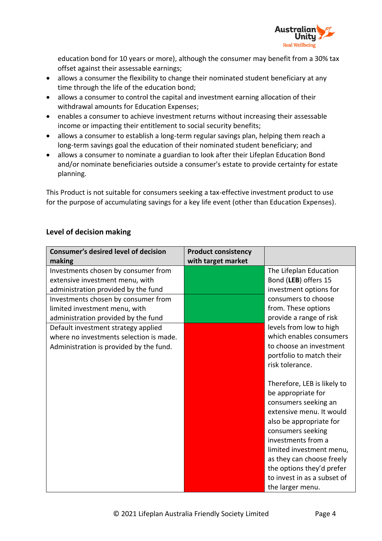

education bond for 10 years or more), although the consumer may benefit from a 30% tax offset against their assessable earnings;

- allows a consumer the flexibility to change their nominated student beneficiary at any time through the life of the education bond;
- allows a consumer to control the capital and investment earning allocation of their withdrawal amounts for Education Expenses;
- enables a consumer to achieve investment returns without increasing their assessable income or impacting their entitlement to social security benefits;
- allows a consumer to establish a long-term regular savings plan, helping them reach a long-term savings goal the education of their nominated student beneficiary; and
- allows a consumer to nominate a guardian to look after their Lifeplan Education Bond and/or nominate beneficiaries outside a consumer's estate to provide certainty for estate planning.

This Product is not suitable for consumers seeking a tax-effective investment product to use for the purpose of accumulating savings for a key life event (other than Education Expenses).

| <b>Consumer's desired level of decision</b> | <b>Product consistency</b> |                             |
|---------------------------------------------|----------------------------|-----------------------------|
| making                                      | with target market         |                             |
| Investments chosen by consumer from         |                            | The Lifeplan Education      |
| extensive investment menu, with             |                            | Bond (LEB) offers 15        |
| administration provided by the fund         |                            | investment options for      |
| Investments chosen by consumer from         |                            | consumers to choose         |
| limited investment menu, with               |                            | from. These options         |
| administration provided by the fund         |                            | provide a range of risk     |
| Default investment strategy applied         |                            | levels from low to high     |
| where no investments selection is made.     |                            | which enables consumers     |
| Administration is provided by the fund.     |                            | to choose an investment     |
|                                             |                            | portfolio to match their    |
|                                             |                            | risk tolerance.             |
|                                             |                            |                             |
|                                             |                            | Therefore, LEB is likely to |
|                                             |                            | be appropriate for          |
|                                             |                            | consumers seeking an        |
|                                             |                            | extensive menu. It would    |
|                                             |                            | also be appropriate for     |
|                                             |                            | consumers seeking           |
|                                             |                            | investments from a          |
|                                             |                            | limited investment menu,    |
|                                             |                            | as they can choose freely   |
|                                             |                            | the options they'd prefer   |
|                                             |                            | to invest in as a subset of |
|                                             |                            | the larger menu.            |

### **Level of decision making**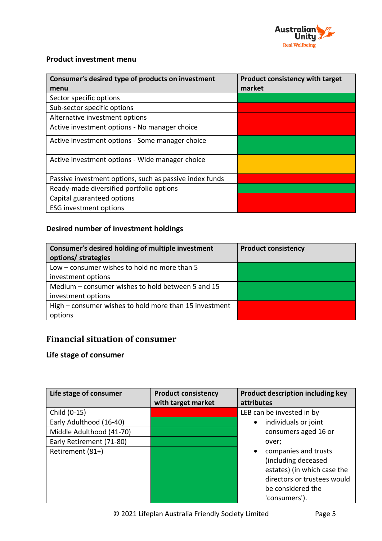

#### **Product investment menu**

| Consumer's desired type of products on investment       | Product consistency with target |
|---------------------------------------------------------|---------------------------------|
| menu                                                    | market                          |
| Sector specific options                                 |                                 |
| Sub-sector specific options                             |                                 |
| Alternative investment options                          |                                 |
| Active investment options - No manager choice           |                                 |
| Active investment options - Some manager choice         |                                 |
| Active investment options - Wide manager choice         |                                 |
| Passive investment options, such as passive index funds |                                 |
| Ready-made diversified portfolio options                |                                 |
| Capital guaranteed options                              |                                 |
| <b>ESG investment options</b>                           |                                 |

### **Desired number of investment holdings**

| Consumer's desired holding of multiple investment      | <b>Product consistency</b> |
|--------------------------------------------------------|----------------------------|
| options/ strategies                                    |                            |
| Low – consumer wishes to hold no more than 5           |                            |
| investment options                                     |                            |
| Medium – consumer wishes to hold between 5 and 15      |                            |
| investment options                                     |                            |
| High - consumer wishes to hold more than 15 investment |                            |
| options                                                |                            |

# **Financial situation of consumer**

### **Life stage of consumer**

| Life stage of consumer   | <b>Product consistency</b><br>with target market | Product description including key<br>attributes                                                                                                 |
|--------------------------|--------------------------------------------------|-------------------------------------------------------------------------------------------------------------------------------------------------|
| Child (0-15)             |                                                  | LEB can be invested in by                                                                                                                       |
| Early Adulthood (16-40)  |                                                  | individuals or joint                                                                                                                            |
| Middle Adulthood (41-70) |                                                  | consumers aged 16 or                                                                                                                            |
| Early Retirement (71-80) |                                                  | over;                                                                                                                                           |
| Retirement (81+)         |                                                  | companies and trusts<br>(including deceased<br>estates) (in which case the<br>directors or trustees would<br>be considered the<br>'consumers'). |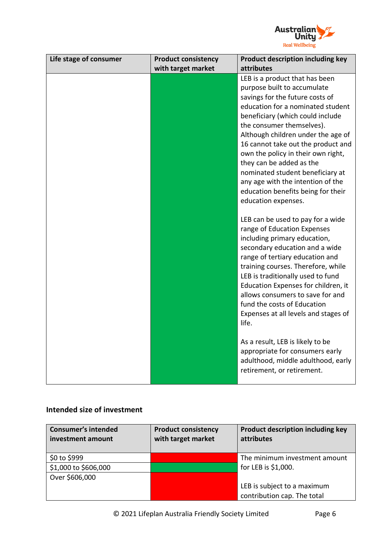

| Life stage of consumer | <b>Product consistency</b> | <b>Product description including key</b>                                                                                                                                                                                                                                                                                                                                                                                                                                                                                                               |
|------------------------|----------------------------|--------------------------------------------------------------------------------------------------------------------------------------------------------------------------------------------------------------------------------------------------------------------------------------------------------------------------------------------------------------------------------------------------------------------------------------------------------------------------------------------------------------------------------------------------------|
|                        | with target market         | attributes                                                                                                                                                                                                                                                                                                                                                                                                                                                                                                                                             |
|                        |                            | LEB is a product that has been<br>purpose built to accumulate<br>savings for the future costs of<br>education for a nominated student<br>beneficiary (which could include<br>the consumer themselves).<br>Although children under the age of<br>16 cannot take out the product and<br>own the policy in their own right,<br>they can be added as the<br>nominated student beneficiary at<br>any age with the intention of the<br>education benefits being for their<br>education expenses.                                                             |
|                        |                            | LEB can be used to pay for a wide<br>range of Education Expenses<br>including primary education,<br>secondary education and a wide<br>range of tertiary education and<br>training courses. Therefore, while<br>LEB is traditionally used to fund<br>Education Expenses for children, it<br>allows consumers to save for and<br>fund the costs of Education<br>Expenses at all levels and stages of<br>life.<br>As a result, LEB is likely to be<br>appropriate for consumers early<br>adulthood, middle adulthood, early<br>retirement, or retirement. |

## **Intended size of investment**

| <b>Consumer's intended</b><br>investment amount | <b>Product consistency</b><br>with target market | <b>Product description including key</b><br>attributes |
|-------------------------------------------------|--------------------------------------------------|--------------------------------------------------------|
| \$0 to \$999                                    |                                                  | The minimum investment amount                          |
| \$1,000 to \$606,000                            |                                                  | for LEB is \$1,000.                                    |
| Over \$606,000                                  |                                                  |                                                        |
|                                                 |                                                  | LEB is subject to a maximum                            |
|                                                 |                                                  | contribution cap. The total                            |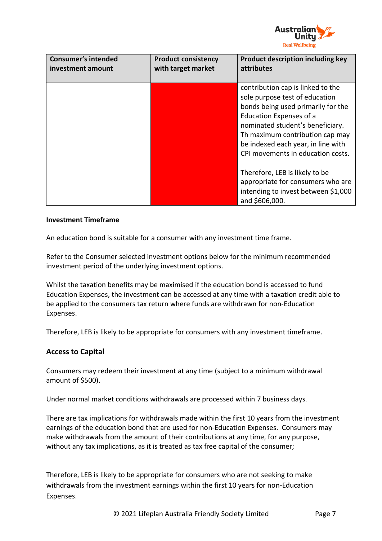

| <b>Consumer's intended</b><br>investment amount | <b>Product consistency</b><br>with target market | <b>Product description including key</b><br>attributes                                                                                                                                                                                                                                        |
|-------------------------------------------------|--------------------------------------------------|-----------------------------------------------------------------------------------------------------------------------------------------------------------------------------------------------------------------------------------------------------------------------------------------------|
|                                                 |                                                  | contribution cap is linked to the<br>sole purpose test of education<br>bonds being used primarily for the<br><b>Education Expenses of a</b><br>nominated student's beneficiary.<br>Th maximum contribution cap may<br>be indexed each year, in line with<br>CPI movements in education costs. |
|                                                 |                                                  | Therefore, LEB is likely to be<br>appropriate for consumers who are<br>intending to invest between \$1,000<br>and \$606,000.                                                                                                                                                                  |

#### **Investment Timeframe**

An education bond is suitable for a consumer with any investment time frame.

Refer to the Consumer selected investment options below for the minimum recommended investment period of the underlying investment options.

Whilst the taxation benefits may be maximised if the education bond is accessed to fund Education Expenses, the investment can be accessed at any time with a taxation credit able to be applied to the consumers tax return where funds are withdrawn for non-Education Expenses.

Therefore, LEB is likely to be appropriate for consumers with any investment timeframe.

#### **Access to Capital**

Consumers may redeem their investment at any time (subject to a minimum withdrawal amount of \$500).

Under normal market conditions withdrawals are processed within 7 business days.

There are tax implications for withdrawals made within the first 10 years from the investment earnings of the education bond that are used for non-Education Expenses. Consumers may make withdrawals from the amount of their contributions at any time, for any purpose, without any tax implications, as it is treated as tax free capital of the consumer;

Therefore, LEB is likely to be appropriate for consumers who are not seeking to make withdrawals from the investment earnings within the first 10 years for non-Education Expenses.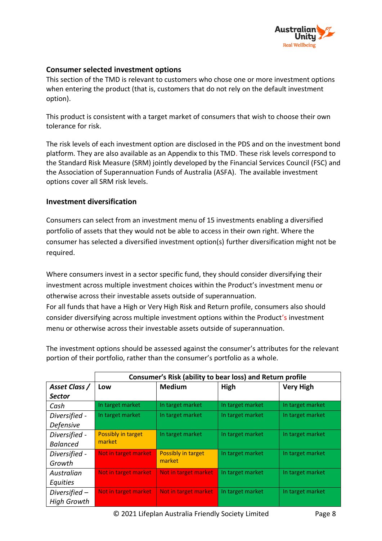

### **Consumer selected investment options**

This section of the TMD is relevant to customers who chose one or more investment options when entering the product (that is, customers that do not rely on the default investment option).

This product is consistent with a target market of consumers that wish to choose their own tolerance for risk.

The risk levels of each investment option are disclosed in the PDS and on the investment bond platform. They are also available as an Appendix to this TMD. These risk levels correspond to the Standard Risk Measure (SRM) jointly developed by the Financial Services Council (FSC) and the Association of Superannuation Funds of Australia (ASFA). The available investment options cover all SRM risk levels.

### **Investment diversification**

Consumers can select from an investment menu of 15 investments enabling a diversified portfolio of assets that they would not be able to access in their own right. Where the consumer has selected a diversified investment option(s) further diversification might not be required.

Where consumers invest in a sector specific fund, they should consider diversifying their investment across multiple investment choices within the Product's investment menu or otherwise across their investable assets outside of superannuation.

For all funds that have a High or Very High Risk and Return profile, consumers also should consider diversifying across multiple investment options within the Product's investment menu or otherwise across their investable assets outside of superannuation.

The investment options should be assessed against the consumer's attributes for the relevant portion of their portfolio, rather than the consumer's portfolio as a whole.

|                    | Consumer's Risk (ability to bear loss) and Return profile |                      |                  |                  |
|--------------------|-----------------------------------------------------------|----------------------|------------------|------------------|
| Asset Class /      | Low                                                       | <b>Medium</b>        | High             | <b>Very High</b> |
| <b>Sector</b>      |                                                           |                      |                  |                  |
| Cash               | In target market                                          | In target market     | In target market | In target market |
| Diversified -      | In target market                                          | In target market     | In target market | In target market |
| Defensive          |                                                           |                      |                  |                  |
| Diversified -      | Possibly in target                                        | In target market     | In target market | In target market |
| <b>Balanced</b>    | market                                                    |                      |                  |                  |
| Diversified -      | Not in target market                                      | Possibly in target   | In target market | In target market |
| Growth             |                                                           | market               |                  |                  |
| Australian         | Not in target market                                      | Not in target market | In target market | In target market |
| Equities           |                                                           |                      |                  |                  |
| Diversified -      | Not in target market                                      | Not in target market | In target market | In target market |
| <b>High Growth</b> |                                                           |                      |                  |                  |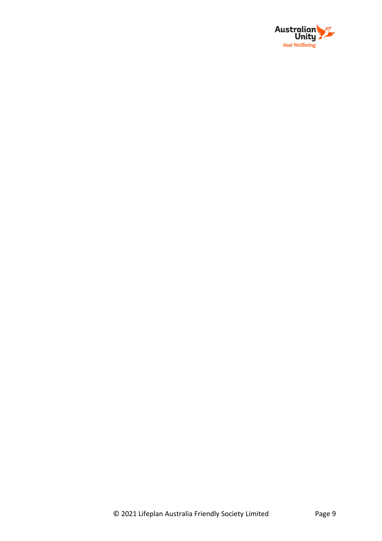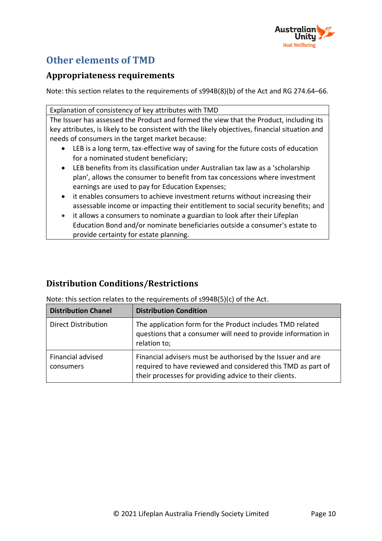

# **Other elements of TMD**

## **Appropriateness requirements**

Note: this section relates to the requirements of s994B(8)(b) of the Act and RG 274.64–66.

Explanation of consistency of key attributes with TMD

The Issuer has assessed the Product and formed the view that the Product, including its key attributes, is likely to be consistent with the likely objectives, financial situation and needs of consumers in the target market because:

- LEB is a long term, tax-effective way of saving for the future costs of education for a nominated student beneficiary;
- LEB benefits from its classification under Australian tax law as a 'scholarship plan', allows the consumer to benefit from tax concessions where investment earnings are used to pay for Education Expenses;
- it enables consumers to achieve investment returns without increasing their assessable income or impacting their entitlement to social security benefits; and
- it allows a consumers to nominate a guardian to look after their Lifeplan Education Bond and/or nominate beneficiaries outside a consumer's estate to provide certainty for estate planning.

# **Distribution Conditions/Restrictions**

Note: this section relates to the requirements of s994B(5)(c) of the Act.

| <b>Distribution Chanel</b>     | <b>Distribution Condition</b>                                                                                                                                                         |
|--------------------------------|---------------------------------------------------------------------------------------------------------------------------------------------------------------------------------------|
| <b>Direct Distribution</b>     | The application form for the Product includes TMD related<br>questions that a consumer will need to provide information in<br>relation to;                                            |
| Financial advised<br>consumers | Financial advisers must be authorised by the Issuer and are<br>required to have reviewed and considered this TMD as part of<br>their processes for providing advice to their clients. |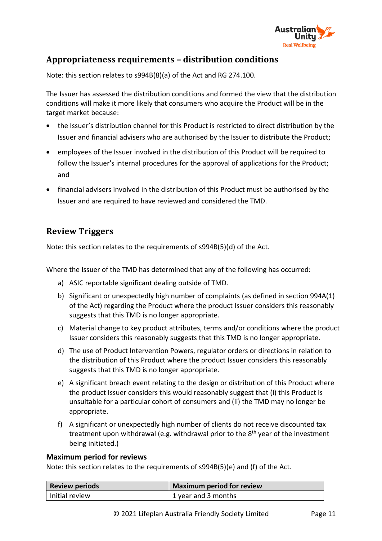

## **Appropriateness requirements – distribution conditions**

Note: this section relates to s994B(8)(a) of the Act and RG 274.100.

The Issuer has assessed the distribution conditions and formed the view that the distribution conditions will make it more likely that consumers who acquire the Product will be in the target market because:

- the Issuer's distribution channel for this Product is restricted to direct distribution by the Issuer and financial advisers who are authorised by the Issuer to distribute the Product;
- employees of the Issuer involved in the distribution of this Product will be required to follow the Issuer's internal procedures for the approval of applications for the Product; and
- financial advisers involved in the distribution of this Product must be authorised by the Issuer and are required to have reviewed and considered the TMD.

# **Review Triggers**

Note: this section relates to the requirements of s994B(5)(d) of the Act.

Where the Issuer of the TMD has determined that any of the following has occurred:

- a) ASIC reportable significant dealing outside of TMD.
- b) Significant or unexpectedly high number of complaints (as defined in section 994A(1) of the Act) regarding the Product where the product Issuer considers this reasonably suggests that this TMD is no longer appropriate.
- c) Material change to key product attributes, terms and/or conditions where the product Issuer considers this reasonably suggests that this TMD is no longer appropriate.
- d) The use of Product Intervention Powers, regulator orders or directions in relation to the distribution of this Product where the product Issuer considers this reasonably suggests that this TMD is no longer appropriate.
- e) A significant breach event relating to the design or distribution of this Product where the product Issuer considers this would reasonably suggest that (i) this Product is unsuitable for a particular cohort of consumers and (ii) the TMD may no longer be appropriate.
- f) A significant or unexpectedly high number of clients do not receive discounted tax treatment upon withdrawal (e.g. withdrawal prior to the 8<sup>th</sup> year of the investment being initiated.)

#### **Maximum period for reviews**

Note: this section relates to the requirements of s994B(5)(e) and (f) of the Act.

| <b>Review periods</b> | <b>Maximum period for review</b> |
|-----------------------|----------------------------------|
| Initial review        | 1 year and 3 months              |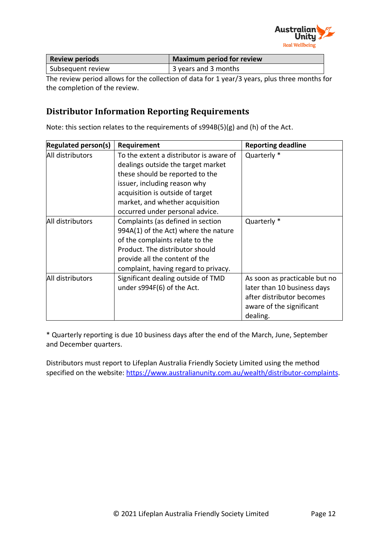

| <b>Review periods</b> | <b>Maximum period for review</b> |
|-----------------------|----------------------------------|
| Subsequent review     | 3 years and 3 months             |

The review period allows for the collection of data for 1 year/3 years, plus three months for the completion of the review.

## **Distributor Information Reporting Requirements**

Note: this section relates to the requirements of s994B(5)(g) and (h) of the Act.

| <b>Regulated person(s)</b> | Requirement                             | <b>Reporting deadline</b>     |
|----------------------------|-----------------------------------------|-------------------------------|
| All distributors           | To the extent a distributor is aware of | Quarterly *                   |
|                            | dealings outside the target market      |                               |
|                            | these should be reported to the         |                               |
|                            | issuer, including reason why            |                               |
|                            | acquisition is outside of target        |                               |
|                            | market, and whether acquisition         |                               |
|                            | occurred under personal advice.         |                               |
| All distributors           | Complaints (as defined in section       | Quarterly *                   |
|                            | 994A(1) of the Act) where the nature    |                               |
|                            | of the complaints relate to the         |                               |
|                            | Product. The distributor should         |                               |
|                            | provide all the content of the          |                               |
|                            | complaint, having regard to privacy.    |                               |
| All distributors           | Significant dealing outside of TMD      | As soon as practicable but no |
|                            | under s994F(6) of the Act.              | later than 10 business days   |
|                            |                                         | after distributor becomes     |
|                            |                                         | aware of the significant      |
|                            |                                         | dealing.                      |

\* Quarterly reporting is due 10 business days after the end of the March, June, September and December quarters.

Distributors must report to Lifeplan Australia Friendly Society Limited using the method specified on the website: [https://www.australianunity.com.au/wealth/distributor-complaints.](https://www.australianunity.com.au/wealth/distributor-complaints)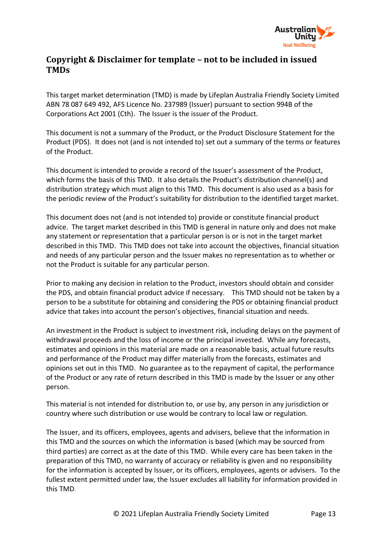

## **Copyright & Disclaimer for template – not to be included in issued TMDs**

This target market determination (TMD) is made by Lifeplan Australia Friendly Society Limited ABN 78 087 649 492, AFS Licence No. 237989 (Issuer) pursuant to section 994B of the Corporations Act 2001 (Cth). The Issuer is the issuer of the Product.

This document is not a summary of the Product, or the Product Disclosure Statement for the Product (PDS). It does not (and is not intended to) set out a summary of the terms or features of the Product.

This document is intended to provide a record of the Issuer's assessment of the Product, which forms the basis of this TMD. It also details the Product's distribution channel(s) and distribution strategy which must align to this TMD. This document is also used as a basis for the periodic review of the Product's suitability for distribution to the identified target market.

This document does not (and is not intended to) provide or constitute financial product advice. The target market described in this TMD is general in nature only and does not make any statement or representation that a particular person is or is not in the target market described in this TMD. This TMD does not take into account the objectives, financial situation and needs of any particular person and the Issuer makes no representation as to whether or not the Product is suitable for any particular person.

Prior to making any decision in relation to the Product, investors should obtain and consider the PDS, and obtain financial product advice if necessary. This TMD should not be taken by a person to be a substitute for obtaining and considering the PDS or obtaining financial product advice that takes into account the person's objectives, financial situation and needs.

An investment in the Product is subject to investment risk, including delays on the payment of withdrawal proceeds and the loss of income or the principal invested. While any forecasts, estimates and opinions in this material are made on a reasonable basis, actual future results and performance of the Product may differ materially from the forecasts, estimates and opinions set out in this TMD. No guarantee as to the repayment of capital, the performance of the Product or any rate of return described in this TMD is made by the Issuer or any other person.

This material is not intended for distribution to, or use by, any person in any jurisdiction or country where such distribution or use would be contrary to local law or regulation.

The Issuer, and its officers, employees, agents and advisers, believe that the information in this TMD and the sources on which the information is based (which may be sourced from third parties) are correct as at the date of this TMD. While every care has been taken in the preparation of this TMD, no warranty of accuracy or reliability is given and no responsibility for the information is accepted by Issuer, or its officers, employees, agents or advisers. To the fullest extent permitted under law, the Issuer excludes all liability for information provided in this TMD.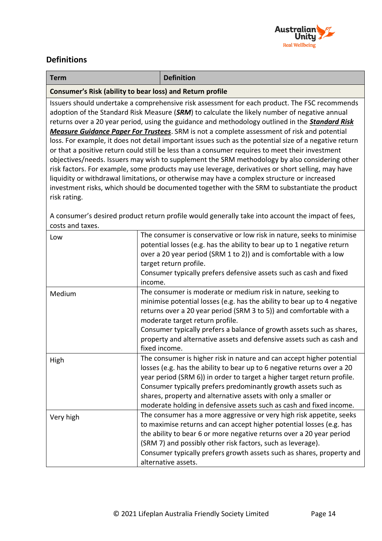

# **Definitions**

| <b>Term</b>                                                                                                                                                                                                                                                                                                                                                                                                                                                                                                                                                                                                                                                                                                                                                                                                                                                                                                                                                                                                                                          | <b>Definition</b>                                                                                                                                                                                                                                                                                                                                                                                                                      |  |
|------------------------------------------------------------------------------------------------------------------------------------------------------------------------------------------------------------------------------------------------------------------------------------------------------------------------------------------------------------------------------------------------------------------------------------------------------------------------------------------------------------------------------------------------------------------------------------------------------------------------------------------------------------------------------------------------------------------------------------------------------------------------------------------------------------------------------------------------------------------------------------------------------------------------------------------------------------------------------------------------------------------------------------------------------|----------------------------------------------------------------------------------------------------------------------------------------------------------------------------------------------------------------------------------------------------------------------------------------------------------------------------------------------------------------------------------------------------------------------------------------|--|
| <b>Consumer's Risk (ability to bear loss) and Return profile</b>                                                                                                                                                                                                                                                                                                                                                                                                                                                                                                                                                                                                                                                                                                                                                                                                                                                                                                                                                                                     |                                                                                                                                                                                                                                                                                                                                                                                                                                        |  |
| Issuers should undertake a comprehensive risk assessment for each product. The FSC recommends<br>adoption of the Standard Risk Measure (SRM) to calculate the likely number of negative annual<br>returns over a 20 year period, using the guidance and methodology outlined in the <b>Standard Risk</b><br><b>Measure Guidance Paper For Trustees</b> . SRM is not a complete assessment of risk and potential<br>loss. For example, it does not detail important issues such as the potential size of a negative return<br>or that a positive return could still be less than a consumer requires to meet their investment<br>objectives/needs. Issuers may wish to supplement the SRM methodology by also considering other<br>risk factors. For example, some products may use leverage, derivatives or short selling, may have<br>liquidity or withdrawal limitations, or otherwise may have a complex structure or increased<br>investment risks, which should be documented together with the SRM to substantiate the product<br>risk rating. |                                                                                                                                                                                                                                                                                                                                                                                                                                        |  |
| costs and taxes.                                                                                                                                                                                                                                                                                                                                                                                                                                                                                                                                                                                                                                                                                                                                                                                                                                                                                                                                                                                                                                     | A consumer's desired product return profile would generally take into account the impact of fees,                                                                                                                                                                                                                                                                                                                                      |  |
| Low                                                                                                                                                                                                                                                                                                                                                                                                                                                                                                                                                                                                                                                                                                                                                                                                                                                                                                                                                                                                                                                  | The consumer is conservative or low risk in nature, seeks to minimise<br>potential losses (e.g. has the ability to bear up to 1 negative return<br>over a 20 year period (SRM 1 to 2)) and is comfortable with a low<br>target return profile.<br>Consumer typically prefers defensive assets such as cash and fixed<br>income.                                                                                                        |  |
| Medium                                                                                                                                                                                                                                                                                                                                                                                                                                                                                                                                                                                                                                                                                                                                                                                                                                                                                                                                                                                                                                               | The consumer is moderate or medium risk in nature, seeking to<br>minimise potential losses (e.g. has the ability to bear up to 4 negative<br>returns over a 20 year period (SRM 3 to 5)) and comfortable with a<br>moderate target return profile.<br>Consumer typically prefers a balance of growth assets such as shares,<br>property and alternative assets and defensive assets such as cash and<br>fixed income.                  |  |
| High                                                                                                                                                                                                                                                                                                                                                                                                                                                                                                                                                                                                                                                                                                                                                                                                                                                                                                                                                                                                                                                 | The consumer is higher risk in nature and can accept higher potential<br>losses (e.g. has the ability to bear up to 6 negative returns over a 20<br>year period (SRM 6)) in order to target a higher target return profile.<br>Consumer typically prefers predominantly growth assets such as<br>shares, property and alternative assets with only a smaller or<br>moderate holding in defensive assets such as cash and fixed income. |  |
| Very high                                                                                                                                                                                                                                                                                                                                                                                                                                                                                                                                                                                                                                                                                                                                                                                                                                                                                                                                                                                                                                            | The consumer has a more aggressive or very high risk appetite, seeks<br>to maximise returns and can accept higher potential losses (e.g. has<br>the ability to bear 6 or more negative returns over a 20 year period<br>(SRM 7) and possibly other risk factors, such as leverage).<br>Consumer typically prefers growth assets such as shares, property and<br>alternative assets.                                                    |  |